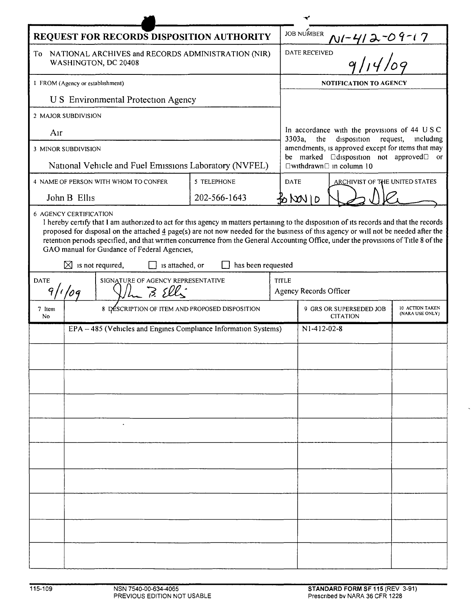| <b>JOB NUMBER</b><br>REQUEST FOR RECORDS DISPOSITION AUTHORITY<br>$\frac{N^{1-\frac{1}{4}}\lambda^{-09-17}}{9/14/09}$<br>DATE RECEIVED<br>To NATIONAL ARCHIVES and RECORDS ADMINISTRATION (NIR)<br>WASHINGTON, DC 20408<br>I FROM (Agency or establishment)<br><b>NOTIFICATION TO AGENCY</b><br>U S Environmental Protection Agency<br>2 MAJOR SUBDIVISION<br>In accordance with the provisions of 44 USC<br>Air<br>disposition request,<br>3303a,<br>the<br>meluding<br>amendments, is approved except for items that may<br>3 MINOR SUBDIVISION<br>be marked <b>D</b> disposition not approved <sup>D</sup> or<br>National Vehicle and Fuel Emissions Laboratory (NVFEL)<br>$\square$ withdrawn $\square$ in column 10<br>5 TELEPHONE<br><b>DATE</b><br>4 NAME OF PERSON WITH WHOM TO CONFER<br>ARCHIVIST OF THE UNITED STATES<br>202-566-1643<br>John B Ellis<br>\$0 NOV 1 0<br><b>6 AGENCY CERTIFICATION</b><br>I hereby certify that I am authorized to act for this agency in matters pertaining to the disposition of its records and that the records<br>proposed for disposal on the attached 4 page(s) are not now needed for the business of this agency or will not be needed after the<br>retention periods specified, and that written concurrence from the General Accounting Office, under the provisions of Title 8 of the |
|---------------------------------------------------------------------------------------------------------------------------------------------------------------------------------------------------------------------------------------------------------------------------------------------------------------------------------------------------------------------------------------------------------------------------------------------------------------------------------------------------------------------------------------------------------------------------------------------------------------------------------------------------------------------------------------------------------------------------------------------------------------------------------------------------------------------------------------------------------------------------------------------------------------------------------------------------------------------------------------------------------------------------------------------------------------------------------------------------------------------------------------------------------------------------------------------------------------------------------------------------------------------------------------------------------------------------------------------|
|                                                                                                                                                                                                                                                                                                                                                                                                                                                                                                                                                                                                                                                                                                                                                                                                                                                                                                                                                                                                                                                                                                                                                                                                                                                                                                                                             |
|                                                                                                                                                                                                                                                                                                                                                                                                                                                                                                                                                                                                                                                                                                                                                                                                                                                                                                                                                                                                                                                                                                                                                                                                                                                                                                                                             |
|                                                                                                                                                                                                                                                                                                                                                                                                                                                                                                                                                                                                                                                                                                                                                                                                                                                                                                                                                                                                                                                                                                                                                                                                                                                                                                                                             |
|                                                                                                                                                                                                                                                                                                                                                                                                                                                                                                                                                                                                                                                                                                                                                                                                                                                                                                                                                                                                                                                                                                                                                                                                                                                                                                                                             |
|                                                                                                                                                                                                                                                                                                                                                                                                                                                                                                                                                                                                                                                                                                                                                                                                                                                                                                                                                                                                                                                                                                                                                                                                                                                                                                                                             |
|                                                                                                                                                                                                                                                                                                                                                                                                                                                                                                                                                                                                                                                                                                                                                                                                                                                                                                                                                                                                                                                                                                                                                                                                                                                                                                                                             |
|                                                                                                                                                                                                                                                                                                                                                                                                                                                                                                                                                                                                                                                                                                                                                                                                                                                                                                                                                                                                                                                                                                                                                                                                                                                                                                                                             |
|                                                                                                                                                                                                                                                                                                                                                                                                                                                                                                                                                                                                                                                                                                                                                                                                                                                                                                                                                                                                                                                                                                                                                                                                                                                                                                                                             |
|                                                                                                                                                                                                                                                                                                                                                                                                                                                                                                                                                                                                                                                                                                                                                                                                                                                                                                                                                                                                                                                                                                                                                                                                                                                                                                                                             |
| GAO manual for Guidance of Federal Agencies,<br>$\boxtimes$ is not required,<br>has been requested<br>is attached, or                                                                                                                                                                                                                                                                                                                                                                                                                                                                                                                                                                                                                                                                                                                                                                                                                                                                                                                                                                                                                                                                                                                                                                                                                       |
| SIGNATURE OF AGENCY REPRESENTATIVE<br><b>DATE</b><br><b>TITLE</b><br>73. Ek<br>9/1/09<br>Agency Records Officer                                                                                                                                                                                                                                                                                                                                                                                                                                                                                                                                                                                                                                                                                                                                                                                                                                                                                                                                                                                                                                                                                                                                                                                                                             |
| 8 DESCRIPTION OF ITEM AND PROPOSED DISPOSITION<br><b>10 ACTION TAKEN</b><br>9 GRS OR SUPERSEDED JOB<br>7 Item<br>(NARA USE ONLY)<br><b>CITATION</b><br>No.                                                                                                                                                                                                                                                                                                                                                                                                                                                                                                                                                                                                                                                                                                                                                                                                                                                                                                                                                                                                                                                                                                                                                                                  |
| EPA - 485 (Vehicles and Engines Compliance Information Systems)<br>$N1-412-02-8$                                                                                                                                                                                                                                                                                                                                                                                                                                                                                                                                                                                                                                                                                                                                                                                                                                                                                                                                                                                                                                                                                                                                                                                                                                                            |
|                                                                                                                                                                                                                                                                                                                                                                                                                                                                                                                                                                                                                                                                                                                                                                                                                                                                                                                                                                                                                                                                                                                                                                                                                                                                                                                                             |
|                                                                                                                                                                                                                                                                                                                                                                                                                                                                                                                                                                                                                                                                                                                                                                                                                                                                                                                                                                                                                                                                                                                                                                                                                                                                                                                                             |
|                                                                                                                                                                                                                                                                                                                                                                                                                                                                                                                                                                                                                                                                                                                                                                                                                                                                                                                                                                                                                                                                                                                                                                                                                                                                                                                                             |
|                                                                                                                                                                                                                                                                                                                                                                                                                                                                                                                                                                                                                                                                                                                                                                                                                                                                                                                                                                                                                                                                                                                                                                                                                                                                                                                                             |
|                                                                                                                                                                                                                                                                                                                                                                                                                                                                                                                                                                                                                                                                                                                                                                                                                                                                                                                                                                                                                                                                                                                                                                                                                                                                                                                                             |
|                                                                                                                                                                                                                                                                                                                                                                                                                                                                                                                                                                                                                                                                                                                                                                                                                                                                                                                                                                                                                                                                                                                                                                                                                                                                                                                                             |
|                                                                                                                                                                                                                                                                                                                                                                                                                                                                                                                                                                                                                                                                                                                                                                                                                                                                                                                                                                                                                                                                                                                                                                                                                                                                                                                                             |
|                                                                                                                                                                                                                                                                                                                                                                                                                                                                                                                                                                                                                                                                                                                                                                                                                                                                                                                                                                                                                                                                                                                                                                                                                                                                                                                                             |
|                                                                                                                                                                                                                                                                                                                                                                                                                                                                                                                                                                                                                                                                                                                                                                                                                                                                                                                                                                                                                                                                                                                                                                                                                                                                                                                                             |
|                                                                                                                                                                                                                                                                                                                                                                                                                                                                                                                                                                                                                                                                                                                                                                                                                                                                                                                                                                                                                                                                                                                                                                                                                                                                                                                                             |
|                                                                                                                                                                                                                                                                                                                                                                                                                                                                                                                                                                                                                                                                                                                                                                                                                                                                                                                                                                                                                                                                                                                                                                                                                                                                                                                                             |
|                                                                                                                                                                                                                                                                                                                                                                                                                                                                                                                                                                                                                                                                                                                                                                                                                                                                                                                                                                                                                                                                                                                                                                                                                                                                                                                                             |
|                                                                                                                                                                                                                                                                                                                                                                                                                                                                                                                                                                                                                                                                                                                                                                                                                                                                                                                                                                                                                                                                                                                                                                                                                                                                                                                                             |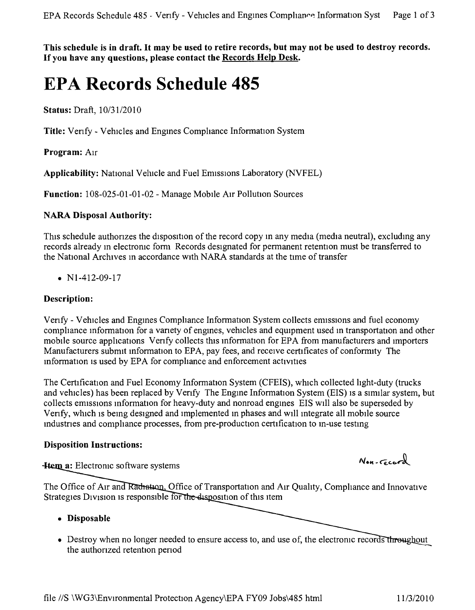This schedule is in draft. It may be used to retire records, but may not be used to destroy records. **If you have any questions, please contact the Records Help Desk.**

# **EPA Records Schedule 485**

**Status:** Draft, *10/31/2010*

**Title:** Venfy - Vehicles and Engmes Comphance Information System

**Program:** AIr

**Applicability:** National Vehicle and Fuel Emissions Laboratory (NVFEL)

**Function:** 108-025-01-01-02 - Manage Mobile AIr Pollution Sources

# **NARA Disposal Authority:**

This schedule authorizes the disposition of the record copy in any media (media neutral), excluding any records already m electromc form Records designated for permanent retention must be transferred to the National Archives m accordance with NARA standards at the tnne of transfer

•  $N1-412-09-17$ 

# **Description:**

Verify - Vehicles and Engines Compliance Information System collects emissions and fuel economy comphance mformation for a vanety of engmes, vehicles and equipment used in transportation and other mobile source applications Verify collects this information for EPA from manufacturers and importers Manufacturers submit information to EPA, pay fees, and receive certificates of conformity The mformation IS used by EPA for comphance and enforcement activities

The Certification and Fuel Economy Information System (CFEIS), which collected light-duty (trucks and vehicles) has been replaced by Verify The Engine Information System (EIS) is a similar system, but collects emissions information for heavy-duty and nonroad engines EIS will also be superseded by Venfy, which is being designed and implemented in phases and will integrate all mobile source mdustnes and comphance processes, from pre-production certification to m-use testmg

## **Disposition Instructions:**

**Hem a:** Electronic software systems

The Office of Air and Radiation, Office of Transportation and Air Quality, Compliance and Innovative Strategies Division is responsible for the disposition of this item

- **• Disposable**
- Destroy when no longer needed to ensure access to, and use of, the electronic records to the authonzed retention penod

 $N_{en-Geord}$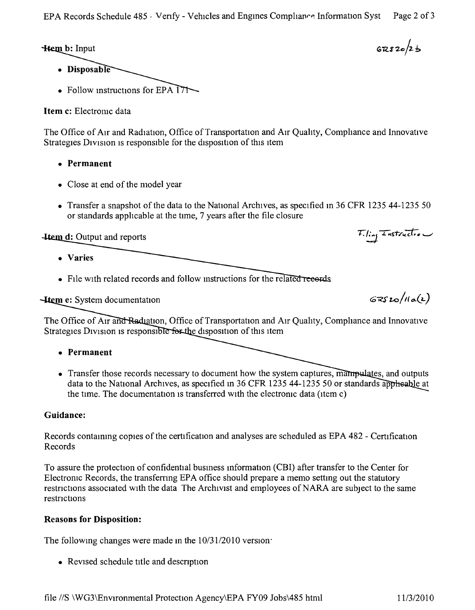**Hem b:** Input

- Disposable
- Follow instructions for EPA  $\overline{17}$

**Item c:** Electronic data

The Office of Air and Radiation, Office of Transportation and Air Quality, Compliance and Innovative Strategies Division is responsible for the disposition of this item

- **• Permanent**
- Close at end of the model year
- Transfer a snapshot of the data to the National Archives, as specified in 36 CFR 1235 44-1235 50 or standards applicable at the time, 7 years after the file closure

**4tem d:** Output and reports

- **• Varies**
- File with related records and follow instructions for the related records

**Htem e:** System documentation

The Office of Air and Radiation, Office of Transportation and Air Quality, Compliance and Innovative Strategies Division is responsible for the disposition of this item

- **• Permanent**
- Transfer those records necessary to document how the system captures, manipulates, and outputs data to the National Archives, as specified in 36 CFR 1235 44-1235 50 or standards applieable at the time. The documentation is transferred with the electronic data (item c)

# **Guidance:**

Records contammg copies of the certification and analyses are scheduled as EPA 482 - Certification Records

To assure the protection of confidential busmess mformation (CBI) after transfer to the Center for Electronic Records, the transfemng EPA office should prepare a memo settmg out the statutory restrictions associated with the data The Archivist and employees of NARA are subject to the same restnctions

# **Reasons for Disposition:**

The followmg changes were made m the *10/3112010* version:

• Revised schedule title and description

 $67820/25$ 

 $GRS$  20/11a(2)

Filing Instruction